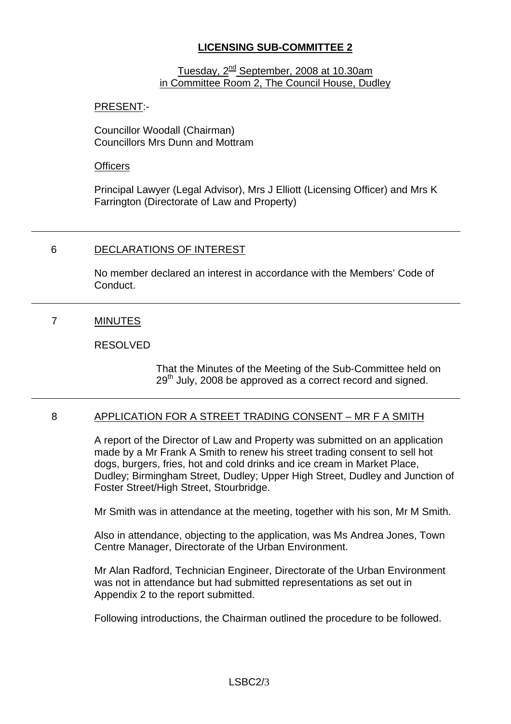# **LICENSING SUB-COMMITTEE 2**

#### Tuesday, 2<sup>nd</sup> September, 2008 at 10.30am in Committee Room 2, The Council House, Dudley

### PRESENT:-

Councillor Woodall (Chairman) Councillors Mrs Dunn and Mottram

#### **Officers**

Principal Lawyer (Legal Advisor), Mrs J Elliott (Licensing Officer) and Mrs K Farrington (Directorate of Law and Property)

# 6 DECLARATIONS OF INTEREST

No member declared an interest in accordance with the Members' Code of Conduct.

# 7 MINUTES

### RESOLVED

That the Minutes of the Meeting of the Sub-Committee held on 29<sup>th</sup> July, 2008 be approved as a correct record and signed.

# 8 APPLICATION FOR A STREET TRADING CONSENT – MR F A SMITH

A report of the Director of Law and Property was submitted on an application made by a Mr Frank A Smith to renew his street trading consent to sell hot dogs, burgers, fries, hot and cold drinks and ice cream in Market Place, Dudley; Birmingham Street, Dudley; Upper High Street, Dudley and Junction of Foster Street/High Street, Stourbridge.

Mr Smith was in attendance at the meeting, together with his son, Mr M Smith.

Also in attendance, objecting to the application, was Ms Andrea Jones, Town Centre Manager, Directorate of the Urban Environment.

Mr Alan Radford, Technician Engineer, Directorate of the Urban Environment was not in attendance but had submitted representations as set out in Appendix 2 to the report submitted.

Following introductions, the Chairman outlined the procedure to be followed.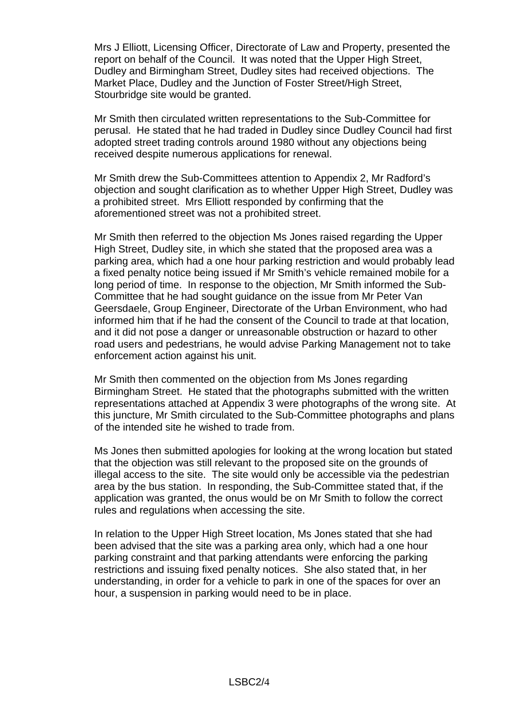Mrs J Elliott, Licensing Officer, Directorate of Law and Property, presented the report on behalf of the Council. It was noted that the Upper High Street, Dudley and Birmingham Street, Dudley sites had received objections. The Market Place, Dudley and the Junction of Foster Street/High Street, Stourbridge site would be granted.

Mr Smith then circulated written representations to the Sub-Committee for perusal. He stated that he had traded in Dudley since Dudley Council had first adopted street trading controls around 1980 without any objections being received despite numerous applications for renewal.

Mr Smith drew the Sub-Committees attention to Appendix 2, Mr Radford's objection and sought clarification as to whether Upper High Street, Dudley was a prohibited street. Mrs Elliott responded by confirming that the aforementioned street was not a prohibited street.

Mr Smith then referred to the objection Ms Jones raised regarding the Upper High Street, Dudley site, in which she stated that the proposed area was a parking area, which had a one hour parking restriction and would probably lead a fixed penalty notice being issued if Mr Smith's vehicle remained mobile for a long period of time. In response to the objection, Mr Smith informed the Sub-Committee that he had sought guidance on the issue from Mr Peter Van Geersdaele, Group Engineer, Directorate of the Urban Environment, who had informed him that if he had the consent of the Council to trade at that location, and it did not pose a danger or unreasonable obstruction or hazard to other road users and pedestrians, he would advise Parking Management not to take enforcement action against his unit.

Mr Smith then commented on the objection from Ms Jones regarding Birmingham Street. He stated that the photographs submitted with the written representations attached at Appendix 3 were photographs of the wrong site. At this juncture, Mr Smith circulated to the Sub-Committee photographs and plans of the intended site he wished to trade from.

Ms Jones then submitted apologies for looking at the wrong location but stated that the objection was still relevant to the proposed site on the grounds of illegal access to the site. The site would only be accessible via the pedestrian area by the bus station. In responding, the Sub-Committee stated that, if the application was granted, the onus would be on Mr Smith to follow the correct rules and regulations when accessing the site.

In relation to the Upper High Street location, Ms Jones stated that she had been advised that the site was a parking area only, which had a one hour parking constraint and that parking attendants were enforcing the parking restrictions and issuing fixed penalty notices. She also stated that, in her understanding, in order for a vehicle to park in one of the spaces for over an hour, a suspension in parking would need to be in place.